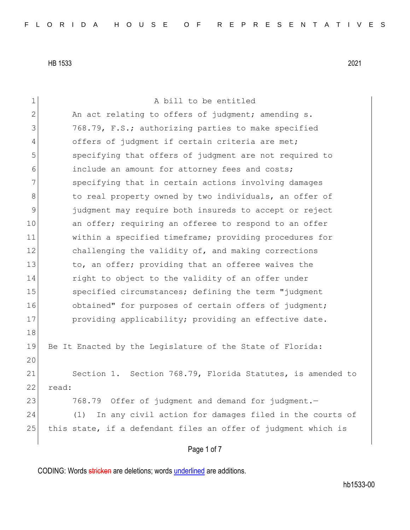| 1  | A bill to be entitled                                          |
|----|----------------------------------------------------------------|
|    |                                                                |
| 2  | An act relating to offers of judgment; amending s.             |
| 3  | 768.79, F.S.; authorizing parties to make specified            |
| 4  | offers of judgment if certain criteria are met;                |
| 5  | specifying that offers of judgment are not required to         |
| 6  | include an amount for attorney fees and costs;                 |
| 7  | specifying that in certain actions involving damages           |
| 8  | to real property owned by two individuals, an offer of         |
| 9  | judgment may require both insureds to accept or reject         |
| 10 | an offer; requiring an offeree to respond to an offer          |
| 11 | within a specified timeframe; providing procedures for         |
| 12 | challenging the validity of, and making corrections            |
| 13 | to, an offer; providing that an offeree waives the             |
| 14 | right to object to the validity of an offer under              |
| 15 | specified circumstances; defining the term "judgment           |
| 16 | obtained" for purposes of certain offers of judgment;          |
| 17 | providing applicability; providing an effective date.          |
| 18 |                                                                |
| 19 | Be It Enacted by the Legislature of the State of Florida:      |
| 20 |                                                                |
| 21 | Section 1. Section 768.79, Florida Statutes, is amended to     |
| 22 | read:                                                          |
| 23 | 768.79 Offer of judgment and demand for judgment.-             |
| 24 | In any civil action for damages filed in the courts of<br>(1)  |
| 25 | this state, if a defendant files an offer of judgment which is |
|    |                                                                |
|    | Page 1 of 7                                                    |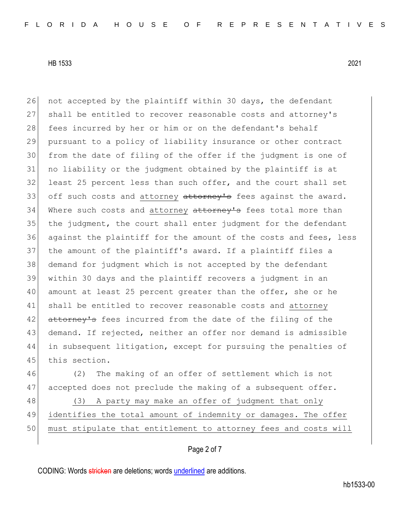26 not accepted by the plaintiff within 30 days, the defendant 27 shall be entitled to recover reasonable costs and attorney's 28 fees incurred by her or him or on the defendant's behalf 29 pursuant to a policy of liability insurance or other contract 30 from the date of filing of the offer if the judgment is one of 31 no liability or the judgment obtained by the plaintiff is at 32 least 25 percent less than such offer, and the court shall set 33 off such costs and attorney attorney's fees against the award. 34 Where such costs and attorney attorney's fees total more than 35 the judgment, the court shall enter judgment for the defendant 36 against the plaintiff for the amount of the costs and fees, less 37 the amount of the plaintiff's award. If a plaintiff files a 38 demand for judgment which is not accepted by the defendant 39 within 30 days and the plaintiff recovers a judgment in an 40 amount at least 25 percent greater than the offer, she or he 41 shall be entitled to recover reasonable costs and attorney 42 attorney's fees incurred from the date of the filing of the 43 demand. If rejected, neither an offer nor demand is admissible 44 in subsequent litigation, except for pursuing the penalties of 45 this section.

46 (2) The making of an offer of settlement which is not 47 accepted does not preclude the making of a subsequent offer.

48 (3) A party may make an offer of judgment that only 49 identifies the total amount of indemnity or damages. The offer 50 must stipulate that entitlement to attorney fees and costs will

# Page 2 of 7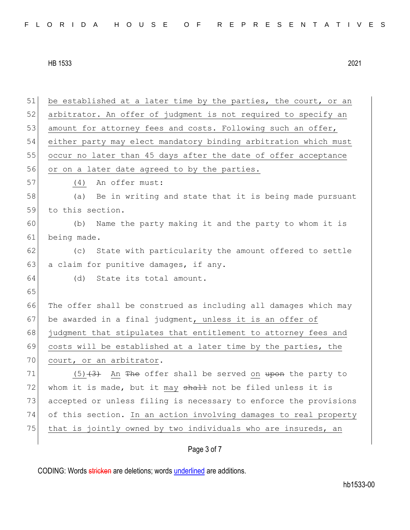| 51 | be established at a later time by the parties, the court, or an  |
|----|------------------------------------------------------------------|
| 52 | arbitrator. An offer of judgment is not required to specify an   |
| 53 | amount for attorney fees and costs. Following such an offer,     |
| 54 | either party may elect mandatory binding arbitration which must  |
| 55 | occur no later than 45 days after the date of offer acceptance   |
| 56 | or on a later date agreed to by the parties.                     |
| 57 | An offer must:<br>(4)                                            |
| 58 | Be in writing and state that it is being made pursuant<br>(a)    |
| 59 | to this section.                                                 |
| 60 | Name the party making it and the party to whom it is<br>(b)      |
| 61 | being made.                                                      |
| 62 | (c) State with particularity the amount offered to settle        |
| 63 | a claim for punitive damages, if any.                            |
| 64 | (d) State its total amount.                                      |
| 65 |                                                                  |
| 66 | The offer shall be construed as including all damages which may  |
| 67 | be awarded in a final judgment, unless it is an offer of         |
| 68 | judgment that stipulates that entitlement to attorney fees and   |
| 69 | costs will be established at a later time by the parties, the    |
| 70 | court, or an arbitrator.                                         |
| 71 | $(5)$ $(3)$ An The offer shall be served on upon the party to    |
| 72 | whom it is made, but it may shall not be filed unless it is      |
| 73 | accepted or unless filing is necessary to enforce the provisions |
| 74 | of this section. In an action involving damages to real property |
| 75 | that is jointly owned by two individuals who are insureds, an    |
|    |                                                                  |

# Page 3 of 7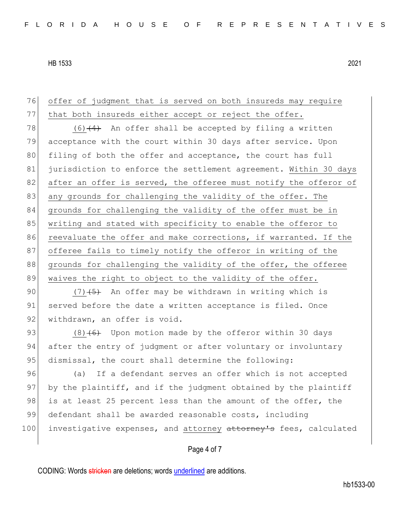Page 4 of 7 76 offer of judgment that is served on both insureds may require 77 that both insureds either accept or reject the offer. 78 (6) $(4)$  An offer shall be accepted by filing a written 79 acceptance with the court within 30 days after service. Upon 80 filing of both the offer and acceptance, the court has full 81 jurisdiction to enforce the settlement agreement. Within 30 days 82 after an offer is served, the offeree must notify the offeror of 83 any grounds for challenging the validity of the offer. The 84 grounds for challenging the validity of the offer must be in 85 writing and stated with specificity to enable the offeror to 86 reevaluate the offer and make corrections, if warranted. If the 87 offeree fails to timely notify the offeror in writing of the 88 grounds for challenging the validity of the offer, the offeree 89 waives the right to object to the validity of the offer. 90  $(7)$   $(5)$  An offer may be withdrawn in writing which is 91 served before the date a written acceptance is filed. Once 92 withdrawn, an offer is void. 93 (8) $(6)$  Upon motion made by the offeror within 30 days 94 after the entry of judgment or after voluntary or involuntary 95 dismissal, the court shall determine the following: 96 (a) If a defendant serves an offer which is not accepted 97 by the plaintiff, and if the judgment obtained by the plaintiff 98 is at least 25 percent less than the amount of the offer, the 99 defendant shall be awarded reasonable costs, including 100 investigative expenses, and attorney attorney's fees, calculated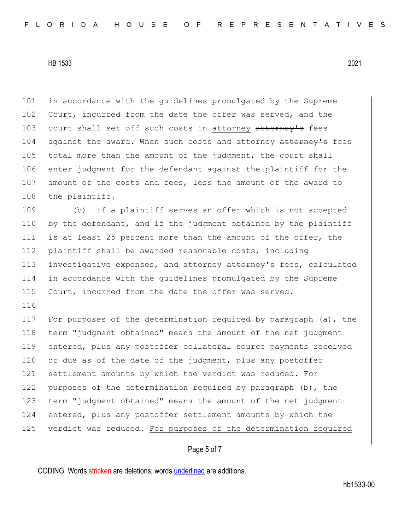116

101 in accordance with the guidelines promulgated by the Supreme 102 Court, incurred from the date the offer was served, and the 103 court shall set off such costs in attorney attorney's fees 104 against the award. When such costs and attorney attorney's fees 105 total more than the amount of the judgment, the court shall 106 enter judgment for the defendant against the plaintiff for the 107 amount of the costs and fees, less the amount of the award to 108 the plaintiff.

109 (b) If a plaintiff serves an offer which is not accepted 110 by the defendant, and if the judgment obtained by the plaintiff 111 is at least 25 percent more than the amount of the offer, the 112 plaintiff shall be awarded reasonable costs, including 113 investigative expenses, and attorney attorney's fees, calculated 114 in accordance with the guidelines promulgated by the Supreme 115 Court, incurred from the date the offer was served.

117 For purposes of the determination required by paragraph (a), the 118 term "judgment obtained" means the amount of the net judgment 119 entered, plus any postoffer collateral source payments received 120 or due as of the date of the judgment, plus any postoffer 121 settlement amounts by which the verdict was reduced. For 122 purposes of the determination required by paragraph (b), the 123 term "judgment obtained" means the amount of the net judgment 124 entered, plus any postoffer settlement amounts by which the 125 verdict was reduced. For purposes of the determination required

# Page 5 of 7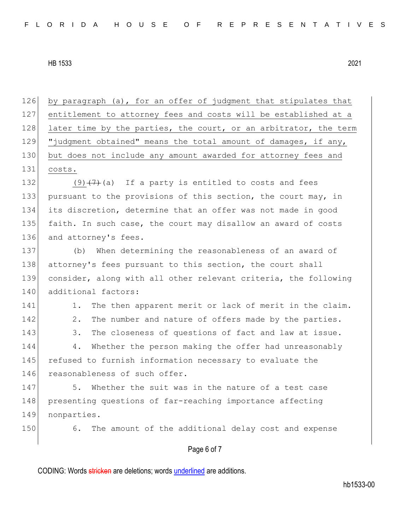Page 6 of 7 126 by paragraph (a), for an offer of judgment that stipulates that 127 entitlement to attorney fees and costs will be established at a 128 later time by the parties, the court, or an arbitrator, the term 129 "judgment obtained" means the total amount of damages, if any, 130 but does not include any amount awarded for attorney fees and 131 costs. 132 (9) $(7)$  (a) If a party is entitled to costs and fees 133 pursuant to the provisions of this section, the court may, in 134 its discretion, determine that an offer was not made in good 135 faith. In such case, the court may disallow an award of costs 136 and attorney's fees. 137 (b) When determining the reasonableness of an award of 138 attorney's fees pursuant to this section, the court shall 139 consider, along with all other relevant criteria, the following 140 additional factors: 141 1. The then apparent merit or lack of merit in the claim. 142 2. The number and nature of offers made by the parties. 143 3. The closeness of questions of fact and law at issue. 144 4. Whether the person making the offer had unreasonably 145 refused to furnish information necessary to evaluate the 146 reasonableness of such offer. 147 5. Whether the suit was in the nature of a test case 148 presenting questions of far-reaching importance affecting 149 nonparties. 150 6. The amount of the additional delay cost and expense